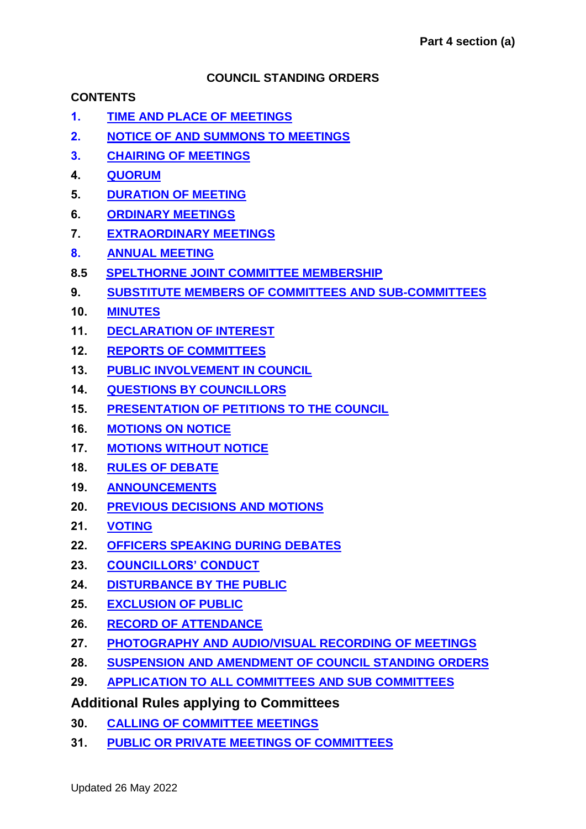### **COUNCIL STANDING ORDERS**

### **CONTENTS**

- **1. [TIME AND PLACE OF MEETINGS](#page-2-0)**
- **2. [NOTICE OF AND SUMMONS TO MEETINGS](#page-2-1)**
- **3. [CHAIRING OF MEETINGS](#page-2-2)**
- **4. [QUORUM](#page-2-3)**
- **5. [DURATION OF MEETING](#page-3-0)**
- **6. [ORDINARY MEETINGS](#page-3-1)**
- **7. [EXTRAORDINARY MEETINGS](#page-4-0)**
- **8. [ANNUAL MEETING](#page-4-1)**
- **8.5 [SPELTHORNE JOINT COMMITTEE MEMBERSHIP](#page-4-2)**
- **9. [SUBSTITUTE MEMBERS OF COMMITTEES AND SUB-COMMITTEES](#page-5-0)**
- **10. [MINUTES](#page-5-1)**
- **11. [DECLARATION OF INTEREST](#page-6-0)**
- **12. [REPORTS OF COMMITTEES](#page-6-1)**
- **13. [PUBLIC INVOLVEMENT IN COUNCIL](#page-6-2)**
- **14. [QUESTIONS BY COUNCILLORS](#page-8-0)**
- **15. [PRESENTATION OF PETITIONS TO THE COUNCIL](#page-9-0)**
- **16. [MOTIONS ON NOTICE](#page-10-0)**
- **17. [MOTIONS WITHOUT NOTICE](#page-10-1)**
- **18. [RULES OF DEBATE](#page-11-0)**
- **19. [ANNOUNCEMENTS](#page-14-0)**
- **20. [PREVIOUS DECISIONS AND MOTIONS](#page-14-1)**
- **21. [VOTING](#page-14-2)**
- **22. [OFFICERS SPEAKING DURING DEBATES](#page-15-0)**
- **23. [COUNCILLORS' CONDUCT](#page-15-1)**
- **24. [DISTURBANCE BY THE PUBLIC](#page-16-0)**
- **25. [EXCLUSION OF PUBLIC](#page-16-1)**
- **26. [RECORD OF ATTENDANCE](#page-16-2)**
- **27. [PHOTOGRAPHY AND AUDIO/VISUAL RECORDING OF MEETINGS](#page-17-0)**
- **28. [SUSPENSION AND AMENDMENT OF COUNCIL STANDING ORDERS](#page-17-1)**
- **29. [APPLICATION TO ALL COMMITTEES AND SUB COMMITTEES](#page-17-2)**

# **Additional Rules applying to Committees**

- **30. [CALLING OF COMMITTEE](#page-17-3) MEETINGS**
- **31. [PUBLIC OR PRIVATE MEETINGS OF COMMITTEES](#page-17-4)**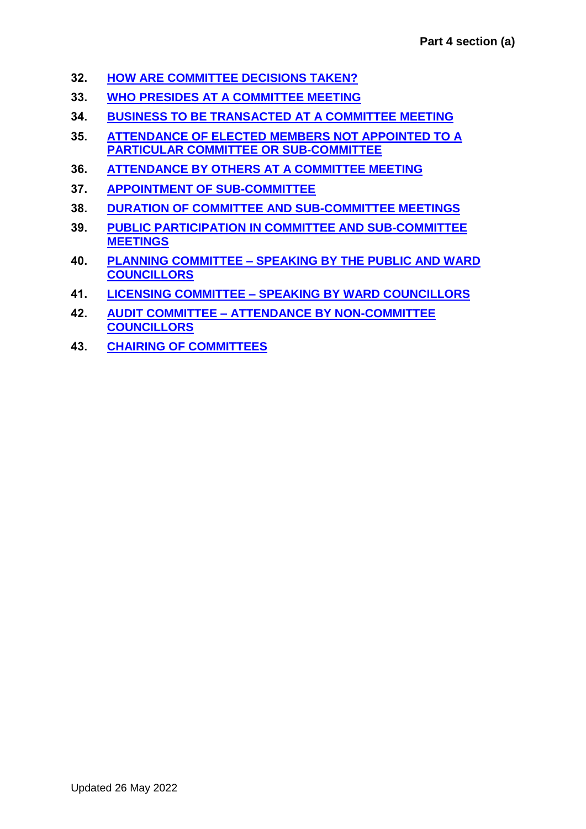- **32. [HOW ARE COMMITTEE DECISIONS TAKEN?](#page-18-0)**
- **33. [WHO PRESIDES AT A COMMITTEE MEETING](#page-19-0)**
- **34. [BUSINESS TO BE TRANSACTED AT A COMMITTEE](#page-19-1) MEETING**
- **35. [ATTENDANCE OF ELECTED MEMBERS NOT APPOINTED TO A](#page-20-0) [PARTICULAR COMMITTEE](#page-20-0) OR SUB-COMMITTEE**
- **36. ATTENDANCE BY OTHERS [AT A COMMITTEE MEETING](#page-20-1)**
- **37. [APPOINTMENT OF SUB-COMMITTEE](#page-20-2)**
- **38. [DURATION OF COMMITTEE AND SUB-COMMITTEE MEETINGS](#page-20-3)**
- **39. PUBLIC PARTICIPATION [IN COMMITTEE AND SUB-COMMITTEE](#page-21-0)  [MEETINGS](#page-21-0)**
- **40. PLANNING COMMITTEE – [SPEAKING BY THE PUBLIC AND WARD](#page-21-1)  [COUNCILLORS](#page-21-1)**
- **41. LICENSING COMMITTEE – [SPEAKING BY WARD COUNCILLORS](#page-22-0)**
- **42. AUDIT COMMITTEE – [ATTENDANCE BY NON-COMMITTEE](#page-23-0)  [COUNCILLORS](#page-23-0)**
- **43. [CHAIRING OF COMMITTEES](#page-23-1)**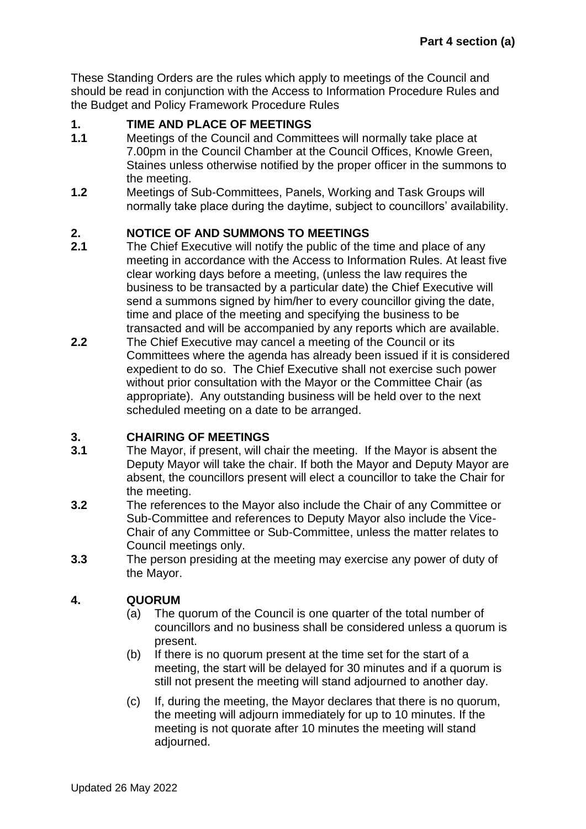These Standing Orders are the rules which apply to meetings of the Council and should be read in conjunction with the Access to Information Procedure Rules and the Budget and Policy Framework Procedure Rules

## <span id="page-2-0"></span>**1. TIME AND PLACE OF MEETINGS**

- **1.1** Meetings of the Council and Committees will normally take place at 7.00pm in the Council Chamber at the Council Offices, Knowle Green, Staines unless otherwise notified by the proper officer in the summons to the meeting.
- **1.2** Meetings of Sub-Committees, Panels, Working and Task Groups will normally take place during the daytime, subject to councillors' availability.

# <span id="page-2-1"></span>**2. NOTICE OF AND SUMMONS TO MEETINGS**

- **2.1** The Chief Executive will notify the public of the time and place of any meeting in accordance with the Access to Information Rules. At least five clear working days before a meeting, (unless the law requires the business to be transacted by a particular date) the Chief Executive will send a summons signed by him/her to every councillor giving the date, time and place of the meeting and specifying the business to be transacted and will be accompanied by any reports which are available.
- **2.2** The Chief Executive may cancel a meeting of the Council or its Committees where the agenda has already been issued if it is considered expedient to do so. The Chief Executive shall not exercise such power without prior consultation with the Mayor or the Committee Chair (as appropriate). Any outstanding business will be held over to the next scheduled meeting on a date to be arranged.

## <span id="page-2-2"></span>**3. CHAIRING OF MEETINGS**

- **3.1** The Mayor, if present, will chair the meeting. If the Mayor is absent the Deputy Mayor will take the chair. If both the Mayor and Deputy Mayor are absent, the councillors present will elect a councillor to take the Chair for the meeting.
- **3.2** The references to the Mayor also include the Chair of any Committee or Sub-Committee and references to Deputy Mayor also include the Vice-Chair of any Committee or Sub-Committee, unless the matter relates to Council meetings only.
- **3.3** The person presiding at the meeting may exercise any power of duty of the Mayor.

# <span id="page-2-3"></span>**4. QUORUM**

- (a) The quorum of the Council is one quarter of the total number of councillors and no business shall be considered unless a quorum is present.
- (b) If there is no quorum present at the time set for the start of a meeting, the start will be delayed for 30 minutes and if a quorum is still not present the meeting will stand adjourned to another day.
- (c) If, during the meeting, the Mayor declares that there is no quorum, the meeting will adjourn immediately for up to 10 minutes. If the meeting is not quorate after 10 minutes the meeting will stand adjourned.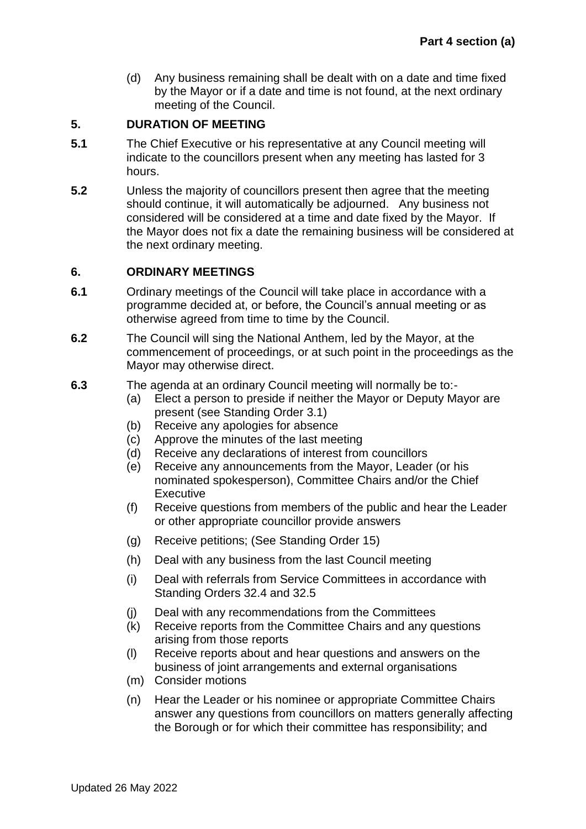(d) Any business remaining shall be dealt with on a date and time fixed by the Mayor or if a date and time is not found, at the next ordinary meeting of the Council.

### <span id="page-3-0"></span>**5. DURATION OF MEETING**

- **5.1** The Chief Executive or his representative at any Council meeting will indicate to the councillors present when any meeting has lasted for 3 hours.
- **5.2** Unless the majority of councillors present then agree that the meeting should continue, it will automatically be adjourned. Any business not considered will be considered at a time and date fixed by the Mayor. If the Mayor does not fix a date the remaining business will be considered at the next ordinary meeting.

### <span id="page-3-1"></span>**6. ORDINARY MEETINGS**

- **6.1** Ordinary meetings of the Council will take place in accordance with a programme decided at, or before, the Council's annual meeting or as otherwise agreed from time to time by the Council.
- **6.2** The Council will sing the National Anthem, led by the Mayor, at the commencement of proceedings, or at such point in the proceedings as the Mayor may otherwise direct.
- **6.3** The agenda at an ordinary Council meeting will normally be to:-
	- (a) Elect a person to preside if neither the Mayor or Deputy Mayor are present (see Standing Order 3.1)
	- (b) Receive any apologies for absence
	-
	- (c) Approve the minutes of the last meeting<br>(d) Receive any declarations of interest from Receive any declarations of interest from councillors
	- (e) Receive any announcements from the Mayor, Leader (or his nominated spokesperson), Committee Chairs and/or the Chief Executive
	- (f) Receive questions from members of the public and hear the Leader or other appropriate councillor provide answers
	- (g) Receive petitions; (See Standing Order 15)
	- (h) Deal with any business from the last Council meeting
	- (i) Deal with referrals from Service Committees in accordance with Standing Orders 32.4 and 32.5
	- (j) Deal with any recommendations from the Committees
	- (k) Receive reports from the Committee Chairs and any questions arising from those reports
	- (l) Receive reports about and hear questions and answers on the business of joint arrangements and external organisations
	- (m) Consider motions
	- (n) Hear the Leader or his nominee or appropriate Committee Chairs answer any questions from councillors on matters generally affecting the Borough or for which their committee has responsibility; and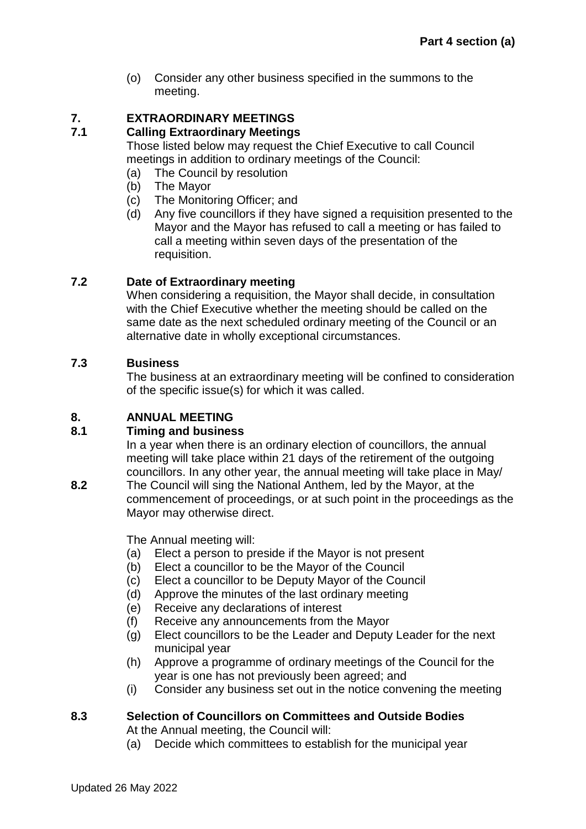(o) Consider any other business specified in the summons to the meeting.

# <span id="page-4-0"></span>**7. EXTRAORDINARY MEETINGS**

# **7.1 Calling Extraordinary Meetings**

Those listed below may request the Chief Executive to call Council meetings in addition to ordinary meetings of the Council:

- <span id="page-4-2"></span>(a) The Council by resolution
- (b) The Mayor
- (c) The Monitoring Officer; and
- (d) Any five councillors if they have signed a requisition presented to the Mayor and the Mayor has refused to call a meeting or has failed to call a meeting within seven days of the presentation of the requisition.

# **7.2 Date of Extraordinary meeting**

When considering a requisition, the Mayor shall decide, in consultation with the Chief Executive whether the meeting should be called on the same date as the next scheduled ordinary meeting of the Council or an alternative date in wholly exceptional circumstances.

# **7.3 Business**

The business at an extraordinary meeting will be confined to consideration of the specific issue(s) for which it was called.

# <span id="page-4-1"></span>**8. ANNUAL MEETING**

## **8.1 Timing and business**

In a year when there is an ordinary election of councillors, the annual meeting will take place within 21 days of the retirement of the outgoing councillors. In any other year, the annual meeting will take place in May/

**8.2** The Council will sing the National Anthem, led by the Mayor, at the commencement of proceedings, or at such point in the proceedings as the Mayor may otherwise direct.

The Annual meeting will:

- (a) Elect a person to preside if the Mayor is not present
- (b) Elect a councillor to be the Mayor of the Council
- (c) Elect a councillor to be Deputy Mayor of the Council
- (d) Approve the minutes of the last ordinary meeting
- (e) Receive any declarations of interest
- (f) Receive any announcements from the Mayor
- (g) Elect councillors to be the Leader and Deputy Leader for the next municipal year
- (h) Approve a programme of ordinary meetings of the Council for the year is one has not previously been agreed; and
- (i) Consider any business set out in the notice convening the meeting

# **8.3 Selection of Councillors on Committees and Outside Bodies**

At the Annual meeting, the Council will:

(a) Decide which committees to establish for the municipal year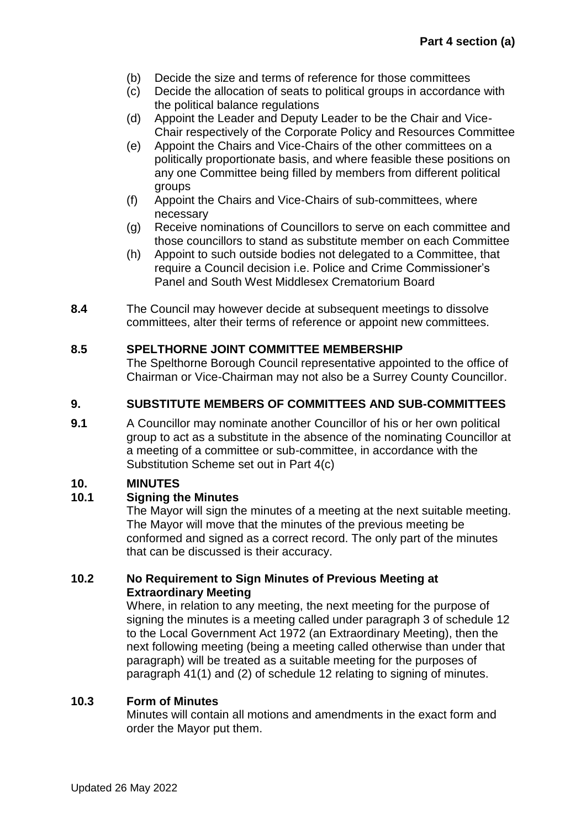- (b) Decide the size and terms of reference for those committees
- (c) Decide the allocation of seats to political groups in accordance with the political balance regulations
- (d) Appoint the Leader and Deputy Leader to be the Chair and Vice-Chair respectively of the Corporate Policy and Resources Committee
- (e) Appoint the Chairs and Vice-Chairs of the other committees on a politically proportionate basis, and where feasible these positions on any one Committee being filled by members from different political groups
- (f) Appoint the Chairs and Vice-Chairs of sub-committees, where necessary
- (g) Receive nominations of Councillors to serve on each committee and those councillors to stand as substitute member on each Committee
- (h) Appoint to such outside bodies not delegated to a Committee, that require a Council decision i.e. Police and Crime Commissioner's Panel and South West Middlesex Crematorium Board
- **8.4** The Council may however decide at subsequent meetings to dissolve committees, alter their terms of reference or appoint new committees.

### **8.5 SPELTHORNE JOINT COMMITTEE MEMBERSHIP**

The Spelthorne Borough Council representative appointed to the office of Chairman or Vice-Chairman may not also be a Surrey County Councillor.

### <span id="page-5-0"></span>**9. SUBSTITUTE MEMBERS OF COMMITTEES AND SUB-COMMITTEES**

**9.1** A Councillor may nominate another Councillor of his or her own political group to act as a substitute in the absence of the nominating Councillor at a meeting of a committee or sub-committee, in accordance with the Substitution Scheme set out in Part 4(c)

## <span id="page-5-1"></span>**10. MINUTES**

### **10.1 Signing the Minutes**

The Mayor will sign the minutes of a meeting at the next suitable meeting. The Mayor will move that the minutes of the previous meeting be conformed and signed as a correct record. The only part of the minutes that can be discussed is their accuracy.

### **10.2 No Requirement to Sign Minutes of Previous Meeting at Extraordinary Meeting**

Where, in relation to any meeting, the next meeting for the purpose of signing the minutes is a meeting called under paragraph 3 of schedule 12 to the Local Government Act 1972 (an Extraordinary Meeting), then the next following meeting (being a meeting called otherwise than under that paragraph) will be treated as a suitable meeting for the purposes of paragraph 41(1) and (2) of schedule 12 relating to signing of minutes.

### **10.3 Form of Minutes**

Minutes will contain all motions and amendments in the exact form and order the Mayor put them.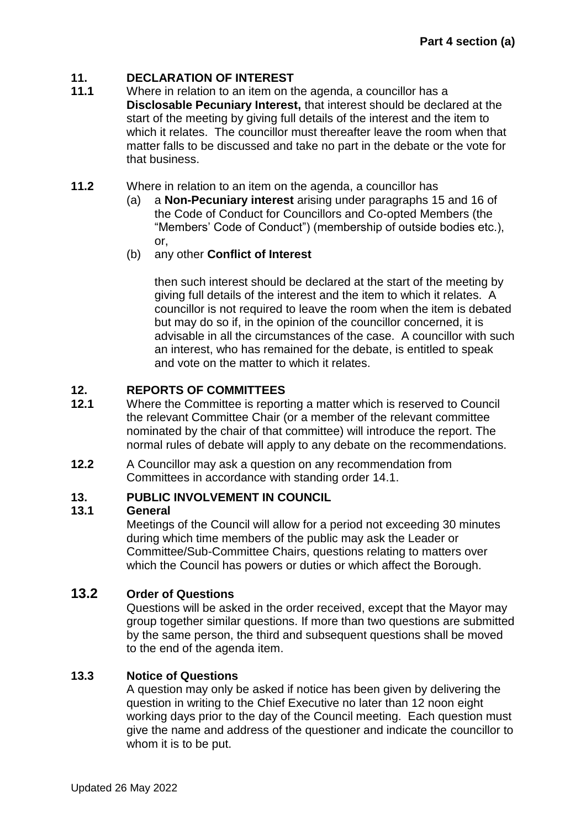# **11. DECLARATION OF INTEREST**

- **11.1** Where in relation to an item on the agenda, a councillor has a **Disclosable Pecuniary Interest,** that interest should be declared at the start of the meeting by giving full details of the interest and the item to which it relates. The councillor must thereafter leave the room when that matter falls to be discussed and take no part in the debate or the vote for that business.
- **11.2** Where in relation to an item on the agenda, a councillor has
	- (a) a **Non-Pecuniary interest** arising under paragraphs 15 and 16 of the Code of Conduct for Councillors and Co-opted Members (the "Members' Code of Conduct") (membership of outside bodies etc.), or,
	- (b) any other **Conflict of Interest**

<span id="page-6-0"></span>then such interest should be declared at the start of the meeting by giving full details of the interest and the item to which it relates. A councillor is not required to leave the room when the item is debated but may do so if, in the opinion of the councillor concerned, it is advisable in all the circumstances of the case. A councillor with such an interest, who has remained for the debate, is entitled to speak and vote on the matter to which it relates.

## <span id="page-6-1"></span>**12. REPORTS OF COMMITTEES**

- **12.1** Where the Committee is reporting a matter which is reserved to Council the relevant Committee Chair (or a member of the relevant committee nominated by the chair of that committee) will introduce the report. The normal rules of debate will apply to any debate on the recommendations.
- **12.2** A Councillor may ask a question on any recommendation from Committees in accordance with standing order 14.1.

## <span id="page-6-2"></span>**13. PUBLIC INVOLVEMENT IN COUNCIL**

### **13.1 General**

Meetings of the Council will allow for a period not exceeding 30 minutes during which time members of the public may ask the Leader or Committee/Sub-Committee Chairs, questions relating to matters over which the Council has powers or duties or which affect the Borough.

# **13.2 Order of Questions**

Questions will be asked in the order received, except that the Mayor may group together similar questions. If more than two questions are submitted by the same person, the third and subsequent questions shall be moved to the end of the agenda item.

### **13.3 Notice of Questions**

A question may only be asked if notice has been given by delivering the question in writing to the Chief Executive no later than 12 noon eight working days prior to the day of the Council meeting. Each question must give the name and address of the questioner and indicate the councillor to whom it is to be put.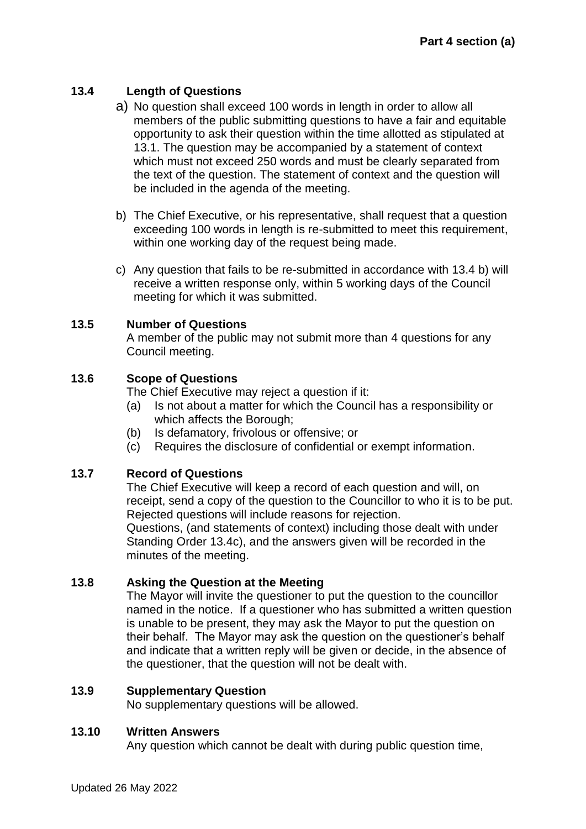## **13.4 Length of Questions**

- a) No question shall exceed 100 words in length in order to allow all members of the public submitting questions to have a fair and equitable opportunity to ask their question within the time allotted as stipulated at 13.1. The question may be accompanied by a statement of context which must not exceed 250 words and must be clearly separated from the text of the question. The statement of context and the question will be included in the agenda of the meeting.
- b) The Chief Executive, or his representative, shall request that a question exceeding 100 words in length is re-submitted to meet this requirement, within one working day of the request being made.
- c) Any question that fails to be re-submitted in accordance with 13.4 b) will receive a written response only, within 5 working days of the Council meeting for which it was submitted.

### **13.5 Number of Questions**

A member of the public may not submit more than 4 questions for any Council meeting.

## **13.6 Scope of Questions**

The Chief Executive may reject a question if it:

- (a) Is not about a matter for which the Council has a responsibility or which affects the Borough;
- (b) Is defamatory, frivolous or offensive; or
- (c) Requires the disclosure of confidential or exempt information.

## **13.7 Record of Questions**

The Chief Executive will keep a record of each question and will, on receipt, send a copy of the question to the Councillor to who it is to be put. Rejected questions will include reasons for rejection.

Questions, (and statements of context) including those dealt with under Standing Order 13.4c), and the answers given will be recorded in the minutes of the meeting.

### **13.8 Asking the Question at the Meeting**

The Mayor will invite the questioner to put the question to the councillor named in the notice. If a questioner who has submitted a written question is unable to be present, they may ask the Mayor to put the question on their behalf. The Mayor may ask the question on the questioner's behalf and indicate that a written reply will be given or decide, in the absence of the questioner, that the question will not be dealt with.

### **13.9 Supplementary Question**

No supplementary questions will be allowed.

### **13.10 Written Answers**

Any question which cannot be dealt with during public question time,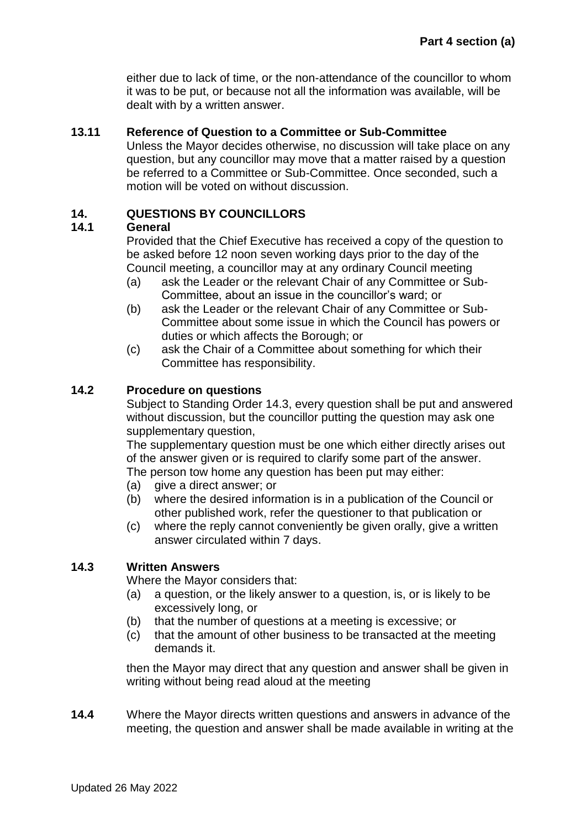either due to lack of time, or the non-attendance of the councillor to whom it was to be put, or because not all the information was available, will be dealt with by a written answer.

### **13.11 Reference of Question to a Committee or Sub-Committee**

Unless the Mayor decides otherwise, no discussion will take place on any question, but any councillor may move that a matter raised by a question be referred to a Committee or Sub-Committee. Once seconded, such a motion will be voted on without discussion.

### <span id="page-8-0"></span>**14. QUESTIONS BY COUNCILLORS**

#### **14.1 General**

Provided that the Chief Executive has received a copy of the question to be asked before 12 noon seven working days prior to the day of the Council meeting, a councillor may at any ordinary Council meeting

- (a) ask the Leader or the relevant Chair of any Committee or Sub-Committee, about an issue in the councillor's ward; or
- (b) ask the Leader or the relevant Chair of any Committee or Sub-Committee about some issue in which the Council has powers or duties or which affects the Borough; or
- (c) ask the Chair of a Committee about something for which their Committee has responsibility.

#### **14.2 Procedure on questions**

Subject to Standing Order 14.3, every question shall be put and answered without discussion, but the councillor putting the question may ask one supplementary question,

The supplementary question must be one which either directly arises out of the answer given or is required to clarify some part of the answer. The person tow home any question has been put may either:

- (a) give a direct answer; or
- (b) where the desired information is in a publication of the Council or other published work, refer the questioner to that publication or
- (c) where the reply cannot conveniently be given orally, give a written answer circulated within 7 days.

#### **14.3 Written Answers**

Where the Mayor considers that:

- (a) a question, or the likely answer to a question, is, or is likely to be excessively long, or
- (b) that the number of questions at a meeting is excessive; or
- (c) that the amount of other business to be transacted at the meeting demands it.

then the Mayor may direct that any question and answer shall be given in writing without being read aloud at the meeting

**14.4** Where the Mayor directs written questions and answers in advance of the meeting, the question and answer shall be made available in writing at the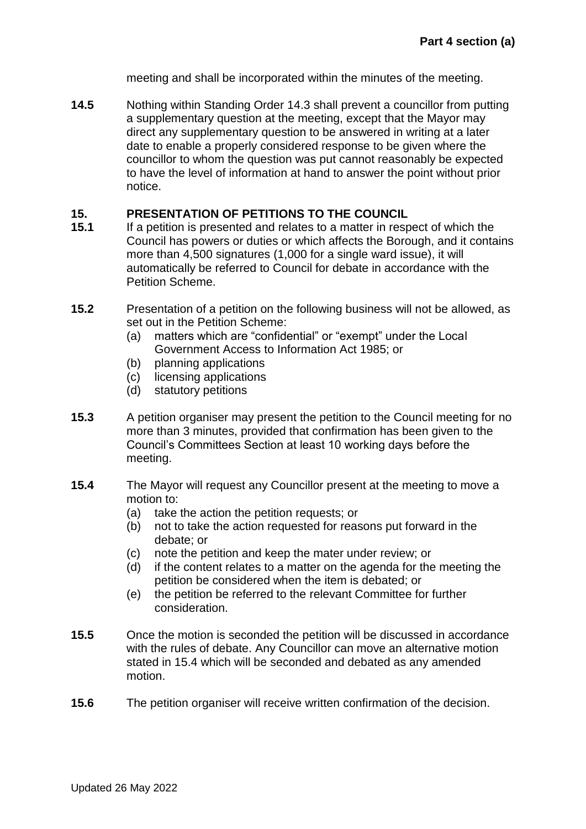meeting and shall be incorporated within the minutes of the meeting.

**14.5** Nothing within Standing Order 14.3 shall prevent a councillor from putting a supplementary question at the meeting, except that the Mayor may direct any supplementary question to be answered in writing at a later date to enable a properly considered response to be given where the councillor to whom the question was put cannot reasonably be expected to have the level of information at hand to answer the point without prior notice.

### <span id="page-9-0"></span>**15. PRESENTATION OF PETITIONS TO THE COUNCIL**

- **15.1** If a petition is presented and relates to a matter in respect of which the Council has powers or duties or which affects the Borough, and it contains more than 4,500 signatures (1,000 for a single ward issue), it will automatically be referred to Council for debate in accordance with the Petition Scheme.
- **15.2** Presentation of a petition on the following business will not be allowed, as set out in the Petition Scheme:
	- (a) matters which are "confidential" or "exempt" under the Local Government Access to Information Act 1985; or
	- (b) planning applications
	- (c) licensing applications
	- (d) statutory petitions
- **15.3** A petition organiser may present the petition to the Council meeting for no more than 3 minutes, provided that confirmation has been given to the Council's Committees Section at least 10 working days before the meeting.
- **15.4** The Mayor will request any Councillor present at the meeting to move a motion to:
	- (a) take the action the petition requests; or
	- (b) not to take the action requested for reasons put forward in the debate; or
	- (c) note the petition and keep the mater under review; or
	- (d) if the content relates to a matter on the agenda for the meeting the petition be considered when the item is debated; or
	- (e) the petition be referred to the relevant Committee for further consideration.
- **15.5** Once the motion is seconded the petition will be discussed in accordance with the rules of debate. Any Councillor can move an alternative motion stated in 15.4 which will be seconded and debated as any amended motion.
- **15.6** The petition organiser will receive written confirmation of the decision.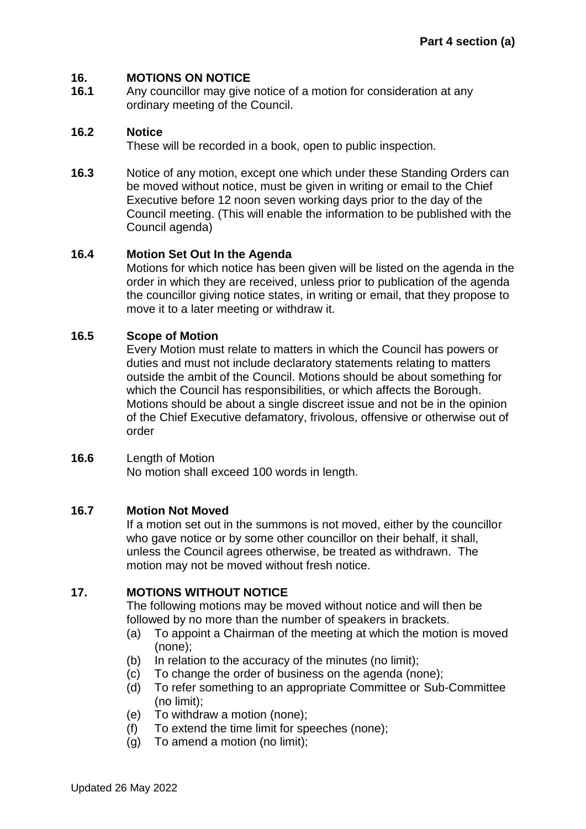### <span id="page-10-0"></span>**16. MOTIONS ON NOTICE**

**16.1** Any councillor may give notice of a motion for consideration at any ordinary meeting of the Council.

### **16.2 Notice**

These will be recorded in a book, open to public inspection.

**16.3** Notice of any motion, except one which under these Standing Orders can be moved without notice, must be given in writing or email to the Chief Executive before 12 noon seven working days prior to the day of the Council meeting. (This will enable the information to be published with the Council agenda)

### **16.4 Motion Set Out In the Agenda**

Motions for which notice has been given will be listed on the agenda in the order in which they are received, unless prior to publication of the agenda the councillor giving notice states, in writing or email, that they propose to move it to a later meeting or withdraw it.

### **16.5 Scope of Motion**

Every Motion must relate to matters in which the Council has powers or duties and must not include declaratory statements relating to matters outside the ambit of the Council. Motions should be about something for which the Council has responsibilities, or which affects the Borough. Motions should be about a single discreet issue and not be in the opinion of the Chief Executive defamatory, frivolous, offensive or otherwise out of order

#### **16.6** Length of Motion

No motion shall exceed 100 words in length.

### **16.7 Motion Not Moved**

If a motion set out in the summons is not moved, either by the councillor who gave notice or by some other councillor on their behalf, it shall, unless the Council agrees otherwise, be treated as withdrawn. The motion may not be moved without fresh notice.

### <span id="page-10-1"></span>**17. MOTIONS WITHOUT NOTICE**

The following motions may be moved without notice and will then be followed by no more than the number of speakers in brackets.

- (a) To appoint a Chairman of the meeting at which the motion is moved (none);
- (b) In relation to the accuracy of the minutes (no limit);
- (c) To change the order of business on the agenda (none);
- (d) To refer something to an appropriate Committee or Sub-Committee (no limit);
- (e) To withdraw a motion (none);
- (f) To extend the time limit for speeches (none);
- (g) To amend a motion (no limit);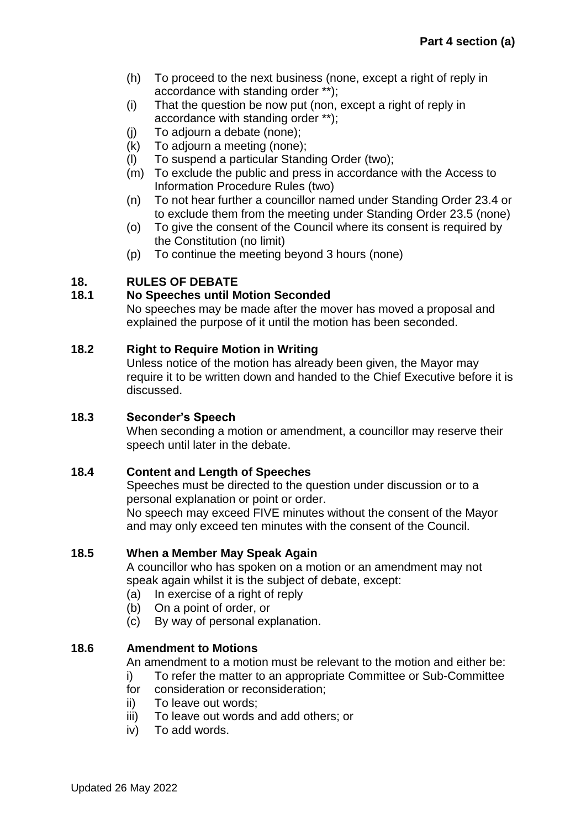- (h) To proceed to the next business (none, except a right of reply in accordance with standing order \*\*);
- (i) That the question be now put (non, except a right of reply in accordance with standing order \*\*);
- (j) To adjourn a debate (none);
- (k) To adjourn a meeting (none);
- (l) To suspend a particular Standing Order (two);
- (m) To exclude the public and press in accordance with the Access to Information Procedure Rules (two)
- (n) To not hear further a councillor named under Standing Order 23.4 or to exclude them from the meeting under Standing Order 23.5 (none)
- (o) To give the consent of the Council where its consent is required by the Constitution (no limit)
- (p) To continue the meeting beyond 3 hours (none)

# <span id="page-11-0"></span>**18. RULES OF DEBATE**

## **18.1 No Speeches until Motion Seconded**

No speeches may be made after the mover has moved a proposal and explained the purpose of it until the motion has been seconded.

## **18.2 Right to Require Motion in Writing**

Unless notice of the motion has already been given, the Mayor may require it to be written down and handed to the Chief Executive before it is discussed.

### **18.3 Seconder's Speech**

When seconding a motion or amendment, a councillor may reserve their speech until later in the debate.

## **18.4 Content and Length of Speeches**

Speeches must be directed to the question under discussion or to a personal explanation or point or order.

No speech may exceed FIVE minutes without the consent of the Mayor and may only exceed ten minutes with the consent of the Council.

### **18.5 When a Member May Speak Again**

A councillor who has spoken on a motion or an amendment may not speak again whilst it is the subject of debate, except:

- (a) In exercise of a right of reply
- (b) On a point of order, or
- (c) By way of personal explanation.

## **18.6 Amendment to Motions**

An amendment to a motion must be relevant to the motion and either be:

- i) To refer the matter to an appropriate Committee or Sub-Committee
- for consideration or reconsideration;
- ii) To leave out words;
- iii) To leave out words and add others; or
- iv) To add words.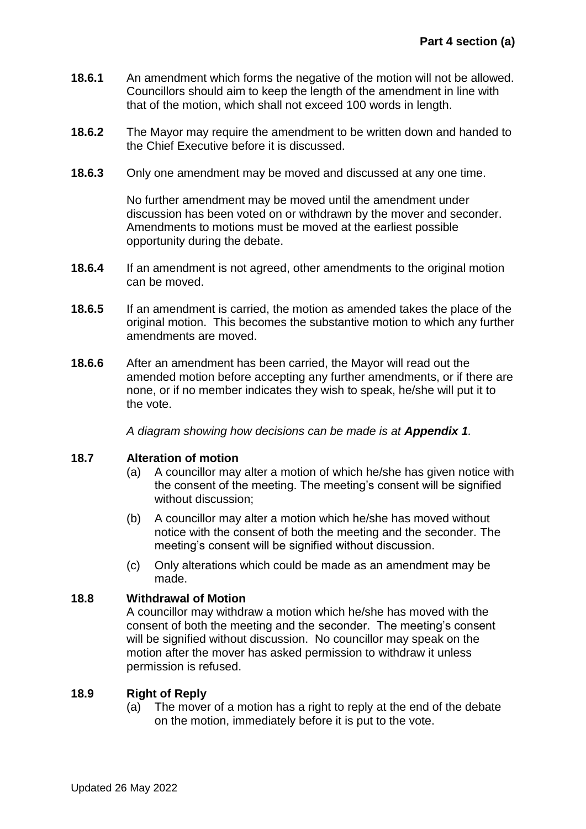- **18.6.1** An amendment which forms the negative of the motion will not be allowed. Councillors should aim to keep the length of the amendment in line with that of the motion, which shall not exceed 100 words in length.
- **18.6.2** The Mayor may require the amendment to be written down and handed to the Chief Executive before it is discussed.
- **18.6.3** Only one amendment may be moved and discussed at any one time.

No further amendment may be moved until the amendment under discussion has been voted on or withdrawn by the mover and seconder. Amendments to motions must be moved at the earliest possible opportunity during the debate.

- **18.6.4** If an amendment is not agreed, other amendments to the original motion can be moved.
- **18.6.5** If an amendment is carried, the motion as amended takes the place of the original motion. This becomes the substantive motion to which any further amendments are moved.
- **18.6.6** After an amendment has been carried, the Mayor will read out the amended motion before accepting any further amendments, or if there are none, or if no member indicates they wish to speak, he/she will put it to the vote.

*A diagram showing how decisions can be made is at Appendix 1.*

### **18.7 Alteration of motion**

- (a) A councillor may alter a motion of which he/she has given notice with the consent of the meeting. The meeting's consent will be signified without discussion;
- (b) A councillor may alter a motion which he/she has moved without notice with the consent of both the meeting and the seconder. The meeting's consent will be signified without discussion.
- (c) Only alterations which could be made as an amendment may be made.

### **18.8 Withdrawal of Motion**

A councillor may withdraw a motion which he/she has moved with the consent of both the meeting and the seconder. The meeting's consent will be signified without discussion. No councillor may speak on the motion after the mover has asked permission to withdraw it unless permission is refused.

### **18.9 Right of Reply**

(a) The mover of a motion has a right to reply at the end of the debate on the motion, immediately before it is put to the vote.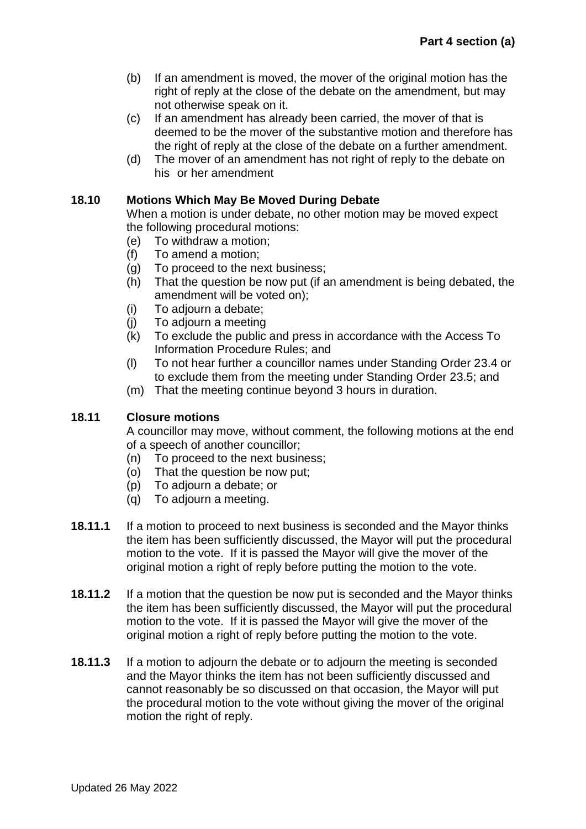- (b) If an amendment is moved, the mover of the original motion has the right of reply at the close of the debate on the amendment, but may not otherwise speak on it.
- (c) If an amendment has already been carried, the mover of that is deemed to be the mover of the substantive motion and therefore has the right of reply at the close of the debate on a further amendment.
- (d) The mover of an amendment has not right of reply to the debate on his or her amendment

### **18.10 Motions Which May Be Moved During Debate**

When a motion is under debate, no other motion may be moved expect the following procedural motions:

- (e) To withdraw a motion;
- (f) To amend a motion;
- (g) To proceed to the next business;
- (h) That the question be now put (if an amendment is being debated, the amendment will be voted on);
- (i) To adjourn a debate;
- (j) To adjourn a meeting
- (k) To exclude the public and press in accordance with the Access To Information Procedure Rules; and
- (l) To not hear further a councillor names under Standing Order 23.4 or to exclude them from the meeting under Standing Order 23.5; and
- (m) That the meeting continue beyond 3 hours in duration.

### **18.11 Closure motions**

A councillor may move, without comment, the following motions at the end of a speech of another councillor;

- (n) To proceed to the next business;
- (o) That the question be now put;
- (p) To adjourn a debate; or
- (q) To adjourn a meeting.
- **18.11.1** If a motion to proceed to next business is seconded and the Mayor thinks the item has been sufficiently discussed, the Mayor will put the procedural motion to the vote. If it is passed the Mayor will give the mover of the original motion a right of reply before putting the motion to the vote.
- **18.11.2** If a motion that the question be now put is seconded and the Mayor thinks the item has been sufficiently discussed, the Mayor will put the procedural motion to the vote. If it is passed the Mayor will give the mover of the original motion a right of reply before putting the motion to the vote.
- **18.11.3** If a motion to adjourn the debate or to adjourn the meeting is seconded and the Mayor thinks the item has not been sufficiently discussed and cannot reasonably be so discussed on that occasion, the Mayor will put the procedural motion to the vote without giving the mover of the original motion the right of reply.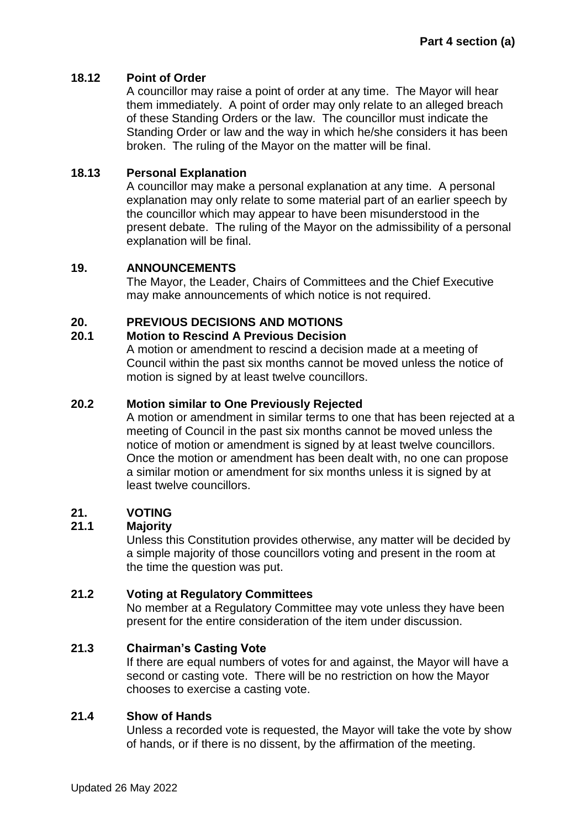### **18.12 Point of Order**

A councillor may raise a point of order at any time. The Mayor will hear them immediately. A point of order may only relate to an alleged breach of these Standing Orders or the law. The councillor must indicate the Standing Order or law and the way in which he/she considers it has been broken. The ruling of the Mayor on the matter will be final.

### **18.13 Personal Explanation**

A councillor may make a personal explanation at any time. A personal explanation may only relate to some material part of an earlier speech by the councillor which may appear to have been misunderstood in the present debate. The ruling of the Mayor on the admissibility of a personal explanation will be final.

### <span id="page-14-0"></span>**19. ANNOUNCEMENTS**

The Mayor, the Leader, Chairs of Committees and the Chief Executive may make announcements of which notice is not required.

## <span id="page-14-1"></span>**20. PREVIOUS DECISIONS AND MOTIONS**

### **20.1 Motion to Rescind A Previous Decision**

A motion or amendment to rescind a decision made at a meeting of Council within the past six months cannot be moved unless the notice of motion is signed by at least twelve councillors.

### **20.2 Motion similar to One Previously Rejected**

A motion or amendment in similar terms to one that has been rejected at a meeting of Council in the past six months cannot be moved unless the notice of motion or amendment is signed by at least twelve councillors. Once the motion or amendment has been dealt with, no one can propose a similar motion or amendment for six months unless it is signed by at least twelve councillors.

### <span id="page-14-2"></span>**21. VOTING**

### **21.1 Majority**

Unless this Constitution provides otherwise, any matter will be decided by a simple majority of those councillors voting and present in the room at the time the question was put.

# **21.2 Voting at Regulatory Committees**

No member at a Regulatory Committee may vote unless they have been present for the entire consideration of the item under discussion.

### **21.3 Chairman's Casting Vote**

If there are equal numbers of votes for and against, the Mayor will have a second or casting vote. There will be no restriction on how the Mayor chooses to exercise a casting vote.

### **21.4 Show of Hands**

Unless a recorded vote is requested, the Mayor will take the vote by show of hands, or if there is no dissent, by the affirmation of the meeting.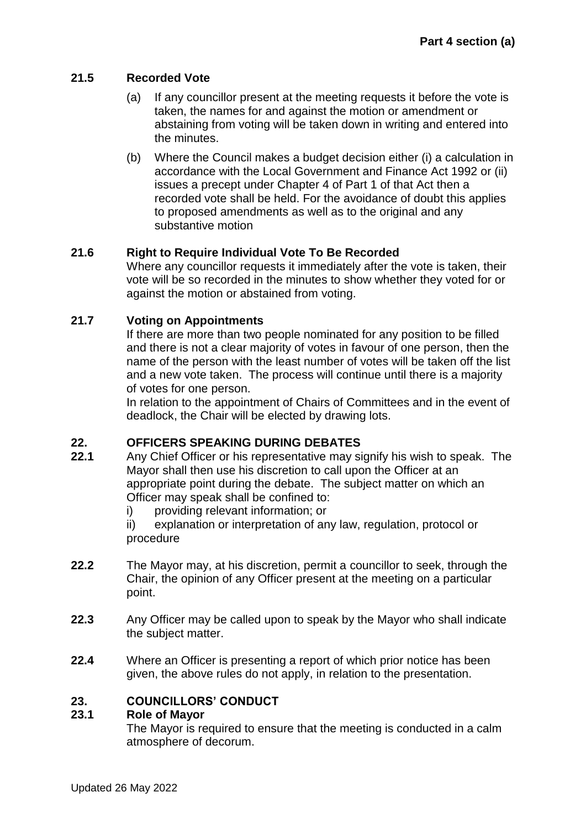## **21.5 Recorded Vote**

- (a) If any councillor present at the meeting requests it before the vote is taken, the names for and against the motion or amendment or abstaining from voting will be taken down in writing and entered into the minutes.
- (b) Where the Council makes a budget decision either (i) a calculation in accordance with the Local Government and Finance Act 1992 or (ii) issues a precept under Chapter 4 of Part 1 of that Act then a recorded vote shall be held. For the avoidance of doubt this applies to proposed amendments as well as to the original and any substantive motion

## **21.6 Right to Require Individual Vote To Be Recorded**

Where any councillor requests it immediately after the vote is taken, their vote will be so recorded in the minutes to show whether they voted for or against the motion or abstained from voting.

# **21.7 Voting on Appointments**

If there are more than two people nominated for any position to be filled and there is not a clear majority of votes in favour of one person, then the name of the person with the least number of votes will be taken off the list and a new vote taken. The process will continue until there is a majority of votes for one person.

In relation to the appointment of Chairs of Committees and in the event of deadlock, the Chair will be elected by drawing lots.

## <span id="page-15-0"></span>**22. OFFICERS SPEAKING DURING DEBATES**

- **22.1** Any Chief Officer or his representative may signify his wish to speak. The Mayor shall then use his discretion to call upon the Officer at an appropriate point during the debate. The subject matter on which an Officer may speak shall be confined to:
	- i) providing relevant information; or

ii) explanation or interpretation of any law, regulation, protocol or procedure

- **22.2** The Mayor may, at his discretion, permit a councillor to seek, through the Chair, the opinion of any Officer present at the meeting on a particular point.
- **22.3** Any Officer may be called upon to speak by the Mayor who shall indicate the subject matter.
- **22.4** Where an Officer is presenting a report of which prior notice has been given, the above rules do not apply, in relation to the presentation.

## <span id="page-15-1"></span>**23. COUNCILLORS' CONDUCT**

## **23.1 Role of Mayor**

The Mayor is required to ensure that the meeting is conducted in a calm atmosphere of decorum.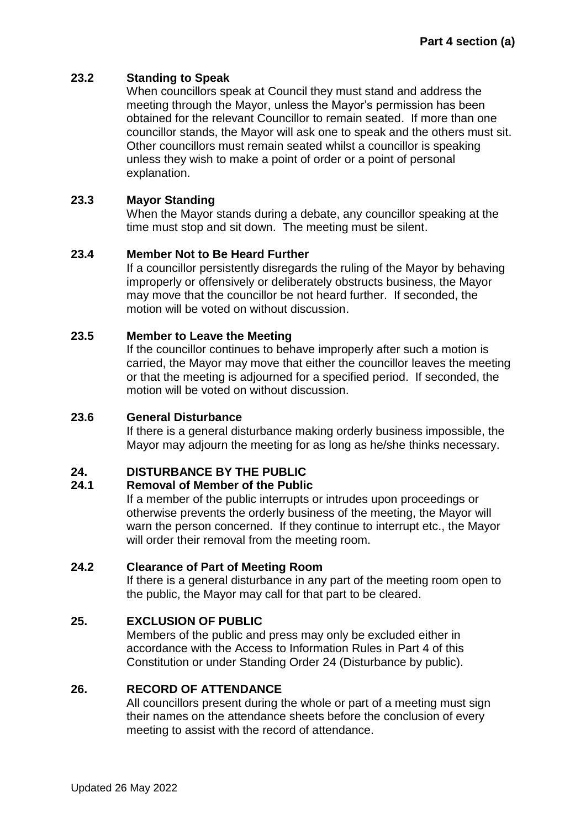### **23.2 Standing to Speak**

When councillors speak at Council they must stand and address the meeting through the Mayor, unless the Mayor's permission has been obtained for the relevant Councillor to remain seated. If more than one councillor stands, the Mayor will ask one to speak and the others must sit. Other councillors must remain seated whilst a councillor is speaking unless they wish to make a point of order or a point of personal explanation.

### **23.3 Mayor Standing**

When the Mayor stands during a debate, any councillor speaking at the time must stop and sit down. The meeting must be silent.

### **23.4 Member Not to Be Heard Further**

If a councillor persistently disregards the ruling of the Mayor by behaving improperly or offensively or deliberately obstructs business, the Mayor may move that the councillor be not heard further. If seconded, the motion will be voted on without discussion.

### **23.5 Member to Leave the Meeting**

If the councillor continues to behave improperly after such a motion is carried, the Mayor may move that either the councillor leaves the meeting or that the meeting is adjourned for a specified period. If seconded, the motion will be voted on without discussion.

### **23.6 General Disturbance**

If there is a general disturbance making orderly business impossible, the Mayor may adjourn the meeting for as long as he/she thinks necessary.

### <span id="page-16-0"></span>**24. DISTURBANCE BY THE PUBLIC**

### **24.1 Removal of Member of the Public**

If a member of the public interrupts or intrudes upon proceedings or otherwise prevents the orderly business of the meeting, the Mayor will warn the person concerned. If they continue to interrupt etc., the Mayor will order their removal from the meeting room.

### **24.2 Clearance of Part of Meeting Room**

If there is a general disturbance in any part of the meeting room open to the public, the Mayor may call for that part to be cleared.

### <span id="page-16-1"></span>**25. EXCLUSION OF PUBLIC**

Members of the public and press may only be excluded either in accordance with the Access to Information Rules in Part 4 of this Constitution or under Standing Order 24 (Disturbance by public).

#### <span id="page-16-2"></span>**26. RECORD OF ATTENDANCE**

All councillors present during the whole or part of a meeting must sign their names on the attendance sheets before the conclusion of every meeting to assist with the record of attendance.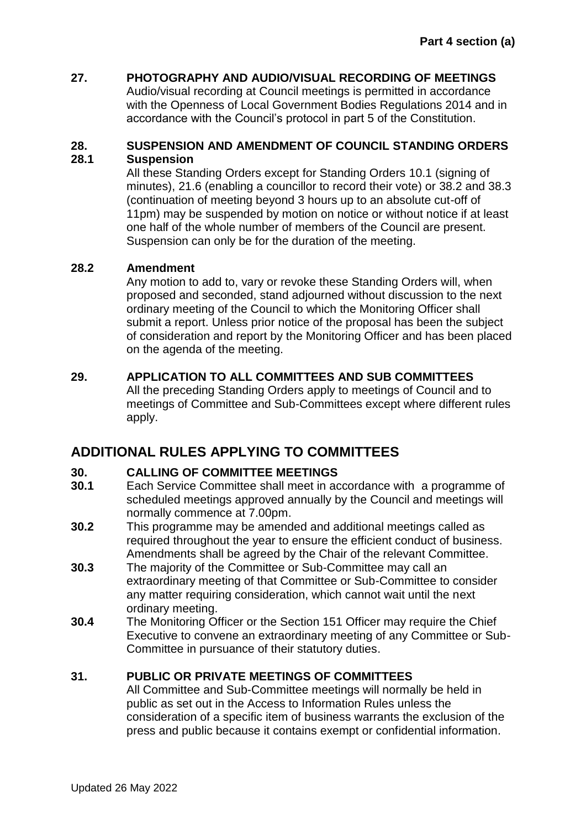# <span id="page-17-0"></span>**27. PHOTOGRAPHY AND AUDIO/VISUAL RECORDING OF MEETINGS**

Audio/visual recording at Council meetings is permitted in accordance with the Openness of Local Government Bodies Regulations 2014 and in accordance with the Council's protocol in part 5 of the Constitution.

### <span id="page-17-1"></span>**28. SUSPENSION AND AMENDMENT OF COUNCIL STANDING ORDERS 28.1 Suspension**

All these Standing Orders except for Standing Orders 10.1 (signing of minutes), 21.6 (enabling a councillor to record their vote) or 38.2 and 38.3 (continuation of meeting beyond 3 hours up to an absolute cut-off of 11pm) may be suspended by motion on notice or without notice if at least one half of the whole number of members of the Council are present. Suspension can only be for the duration of the meeting.

## **28.2 Amendment**

Any motion to add to, vary or revoke these Standing Orders will, when proposed and seconded, stand adjourned without discussion to the next ordinary meeting of the Council to which the Monitoring Officer shall submit a report. Unless prior notice of the proposal has been the subject of consideration and report by the Monitoring Officer and has been placed on the agenda of the meeting.

## <span id="page-17-2"></span>**29. APPLICATION TO ALL COMMITTEES AND SUB COMMITTEES**

All the preceding Standing Orders apply to meetings of Council and to meetings of Committee and Sub-Committees except where different rules apply.

# **ADDITIONAL RULES APPLYING TO COMMITTEES**

## <span id="page-17-3"></span>**30. CALLING OF COMMITTEE MEETINGS**

- **30.1** Each Service Committee shall meet in accordance with a programme of scheduled meetings approved annually by the Council and meetings will normally commence at 7.00pm.
- **30.2** This programme may be amended and additional meetings called as required throughout the year to ensure the efficient conduct of business. Amendments shall be agreed by the Chair of the relevant Committee.
- **30.3** The majority of the Committee or Sub-Committee may call an extraordinary meeting of that Committee or Sub-Committee to consider any matter requiring consideration, which cannot wait until the next ordinary meeting.
- **30.4** The Monitoring Officer or the Section 151 Officer may require the Chief Executive to convene an extraordinary meeting of any Committee or Sub-Committee in pursuance of their statutory duties.

## <span id="page-17-4"></span>**31. PUBLIC OR PRIVATE MEETINGS OF COMMITTEES**

All Committee and Sub-Committee meetings will normally be held in public as set out in the Access to Information Rules unless the consideration of a specific item of business warrants the exclusion of the press and public because it contains exempt or confidential information.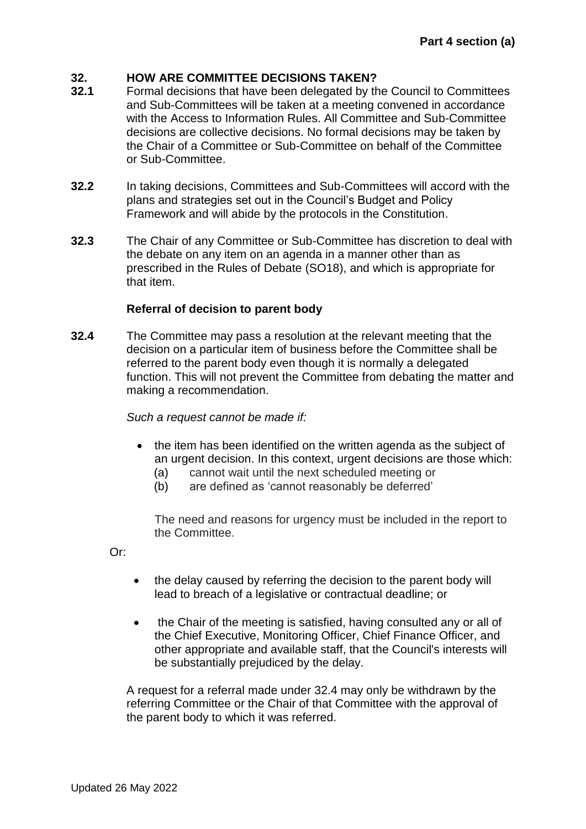### <span id="page-18-0"></span>**32. HOW ARE COMMITTEE DECISIONS TAKEN?**

- **32.1** Formal decisions that have been delegated by the Council to Committees and Sub-Committees will be taken at a meeting convened in accordance with the Access to Information Rules. All Committee and Sub-Committee decisions are collective decisions. No formal decisions may be taken by the Chair of a Committee or Sub-Committee on behalf of the Committee or Sub-Committee.
- **32.2** In taking decisions, Committees and Sub-Committees will accord with the plans and strategies set out in the Council's Budget and Policy Framework and will abide by the protocols in the Constitution.
- **32.3** The Chair of any Committee or Sub-Committee has discretion to deal with the debate on any item on an agenda in a manner other than as prescribed in the Rules of Debate (SO18), and which is appropriate for that item.

### **Referral of decision to parent body**

**32.4** The Committee may pass a resolution at the relevant meeting that the decision on a particular item of business before the Committee shall be referred to the parent body even though it is normally a delegated function. This will not prevent the Committee from debating the matter and making a recommendation.

*Such a request cannot be made if:*

- the item has been identified on the written agenda as the subject of an urgent decision. In this context, urgent decisions are those which:
	- (a) cannot wait until the next scheduled meeting or
	- (b) are defined as 'cannot reasonably be deferred'

The need and reasons for urgency must be included in the report to the Committee.

Or:

- the delay caused by referring the decision to the parent body will lead to breach of a legislative or contractual deadline; or
- the Chair of the meeting is satisfied, having consulted any or all of the Chief Executive, Monitoring Officer, Chief Finance Officer, and other appropriate and available staff, that the Council's interests will be substantially prejudiced by the delay.

A request for a referral made under 32.4 may only be withdrawn by the referring Committee or the Chair of that Committee with the approval of the parent body to which it was referred.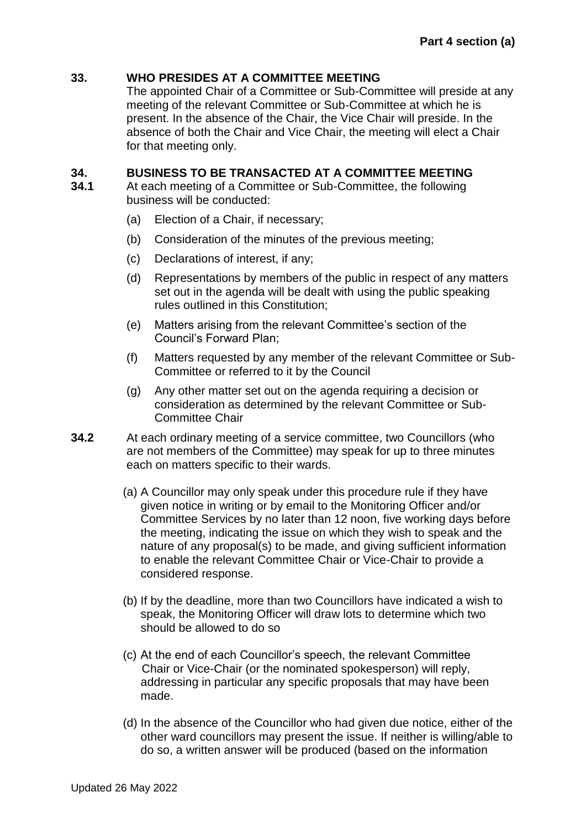### <span id="page-19-0"></span>**33. WHO PRESIDES AT A COMMITTEE MEETING**

The appointed Chair of a Committee or Sub-Committee will preside at any meeting of the relevant Committee or Sub-Committee at which he is present. In the absence of the Chair, the Vice Chair will preside. In the absence of both the Chair and Vice Chair, the meeting will elect a Chair for that meeting only.

### <span id="page-19-1"></span>**34. BUSINESS TO BE TRANSACTED AT A COMMITTEE MEETING**

- **34.1** At each meeting of a Committee or Sub-Committee, the following business will be conducted:
	- (a) Election of a Chair, if necessary;
	- (b) Consideration of the minutes of the previous meeting;
	- (c) Declarations of interest, if any;
	- (d) Representations by members of the public in respect of any matters set out in the agenda will be dealt with using the public speaking rules outlined in this Constitution;
	- (e) Matters arising from the relevant Committee's section of the Council's Forward Plan;
	- (f) Matters requested by any member of the relevant Committee or Sub-Committee or referred to it by the Council
	- (g) Any other matter set out on the agenda requiring a decision or consideration as determined by the relevant Committee or Sub-Committee Chair
- **34.2** At each ordinary meeting of a service committee, two Councillors (who are not members of the Committee) may speak for up to three minutes each on matters specific to their wards.
	- (a) A Councillor may only speak under this procedure rule if they have given notice in writing or by email to the Monitoring Officer and/or Committee Services by no later than 12 noon, five working days before the meeting, indicating the issue on which they wish to speak and the nature of any proposal(s) to be made, and giving sufficient information to enable the relevant Committee Chair or Vice-Chair to provide a considered response.
	- (b) If by the deadline, more than two Councillors have indicated a wish to speak, the Monitoring Officer will draw lots to determine which two should be allowed to do so
	- (c) At the end of each Councillor's speech, the relevant Committee Chair or Vice-Chair (or the nominated spokesperson) will reply, addressing in particular any specific proposals that may have been made.
	- (d) In the absence of the Councillor who had given due notice, either of the other ward councillors may present the issue. If neither is willing/able to do so, a written answer will be produced (based on the information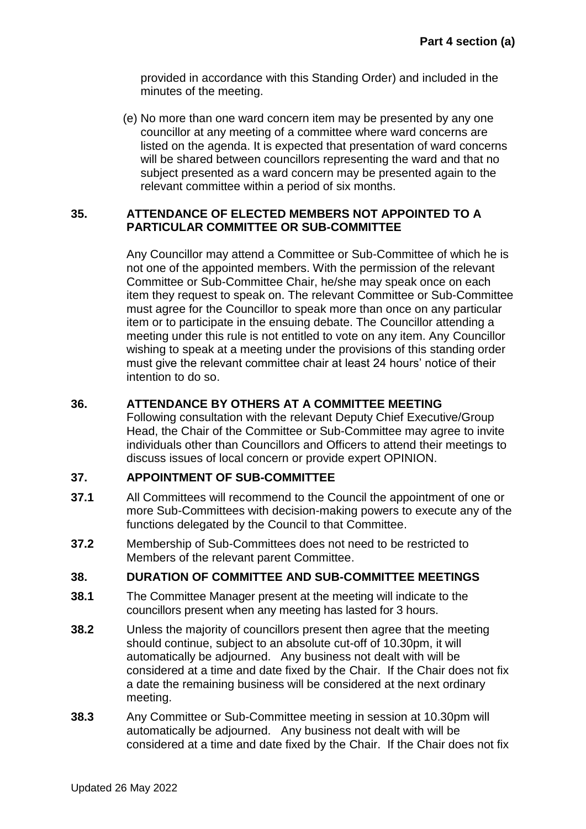provided in accordance with this Standing Order) and included in the minutes of the meeting.

(e) No more than one ward concern item may be presented by any one councillor at any meeting of a committee where ward concerns are listed on the agenda. It is expected that presentation of ward concerns will be shared between councillors representing the ward and that no subject presented as a ward concern may be presented again to the relevant committee within a period of six months.

### <span id="page-20-0"></span>**35. ATTENDANCE OF ELECTED MEMBERS NOT APPOINTED TO A PARTICULAR COMMITTEE OR SUB-COMMITTEE**

Any Councillor may attend a Committee or Sub-Committee of which he is not one of the appointed members. With the permission of the relevant Committee or Sub-Committee Chair, he/she may speak once on each item they request to speak on. The relevant Committee or Sub-Committee must agree for the Councillor to speak more than once on any particular item or to participate in the ensuing debate. The Councillor attending a meeting under this rule is not entitled to vote on any item. Any Councillor wishing to speak at a meeting under the provisions of this standing order must give the relevant committee chair at least 24 hours' notice of their intention to do so.

### <span id="page-20-1"></span>**36. ATTENDANCE BY OTHERS AT A COMMITTEE MEETING**

Following consultation with the relevant Deputy Chief Executive/Group Head, the Chair of the Committee or Sub-Committee may agree to invite individuals other than Councillors and Officers to attend their meetings to discuss issues of local concern or provide expert OPINION.

### <span id="page-20-2"></span>**37. APPOINTMENT OF SUB-COMMITTEE**

- **37.1** All Committees will recommend to the Council the appointment of one or more Sub-Committees with decision-making powers to execute any of the functions delegated by the Council to that Committee.
- **37.2** Membership of Sub-Committees does not need to be restricted to Members of the relevant parent Committee.

### <span id="page-20-3"></span>**38. DURATION OF COMMITTEE AND SUB-COMMITTEE MEETINGS**

- **38.1** The Committee Manager present at the meeting will indicate to the councillors present when any meeting has lasted for 3 hours.
- **38.2** Unless the majority of councillors present then agree that the meeting should continue, subject to an absolute cut-off of 10.30pm, it will automatically be adjourned. Any business not dealt with will be considered at a time and date fixed by the Chair. If the Chair does not fix a date the remaining business will be considered at the next ordinary meeting.
- **38.3** Any Committee or Sub-Committee meeting in session at 10.30pm will automatically be adjourned. Any business not dealt with will be considered at a time and date fixed by the Chair. If the Chair does not fix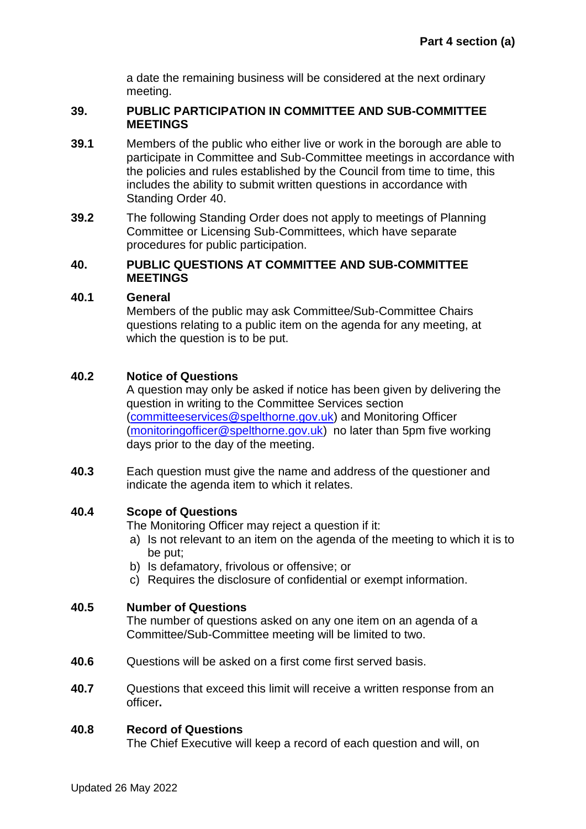a date the remaining business will be considered at the next ordinary meeting.

#### <span id="page-21-0"></span>**39. PUBLIC PARTICIPATION IN COMMITTEE AND SUB-COMMITTEE MEETINGS**

- **39.1** Members of the public who either live or work in the borough are able to participate in Committee and Sub-Committee meetings in accordance with the policies and rules established by the Council from time to time, this includes the ability to submit written questions in accordance with Standing Order 40.
- **39.2** The following Standing Order does not apply to meetings of Planning Committee or Licensing Sub-Committees, which have separate procedures for public participation.

#### <span id="page-21-1"></span>**40. PUBLIC QUESTIONS AT COMMITTEE AND SUB-COMMITTEE MEETINGS**

#### **40.1 General**

Members of the public may ask Committee/Sub-Committee Chairs questions relating to a public item on the agenda for any meeting, at which the question is to be put.

### **40.2 Notice of Questions**

A question may only be asked if notice has been given by delivering the question in writing to the Committee Services section [\(committeeservices@spelthorne.gov.uk\)](mailto:committeeservices@spelthorne.gov.uk) and Monitoring Officer [\(monitoringofficer@spelthorne.gov.uk\)](mailto:monitoringofficer@spelthorne.gov.uk) no later than 5pm five working days prior to the day of the meeting.

**40.3** Each question must give the name and address of the questioner and indicate the agenda item to which it relates.

### **40.4 Scope of Questions**

The Monitoring Officer may reject a question if it:

- a) Is not relevant to an item on the agenda of the meeting to which it is to be put;
- b) Is defamatory, frivolous or offensive; or
- c) Requires the disclosure of confidential or exempt information.

### **40.5 Number of Questions**

The number of questions asked on any one item on an agenda of a Committee/Sub-Committee meeting will be limited to two.

- **40.6** Questions will be asked on a first come first served basis.
- **40.7** Questions that exceed this limit will receive a written response from an officer**.**

#### **40.8 Record of Questions**

The Chief Executive will keep a record of each question and will, on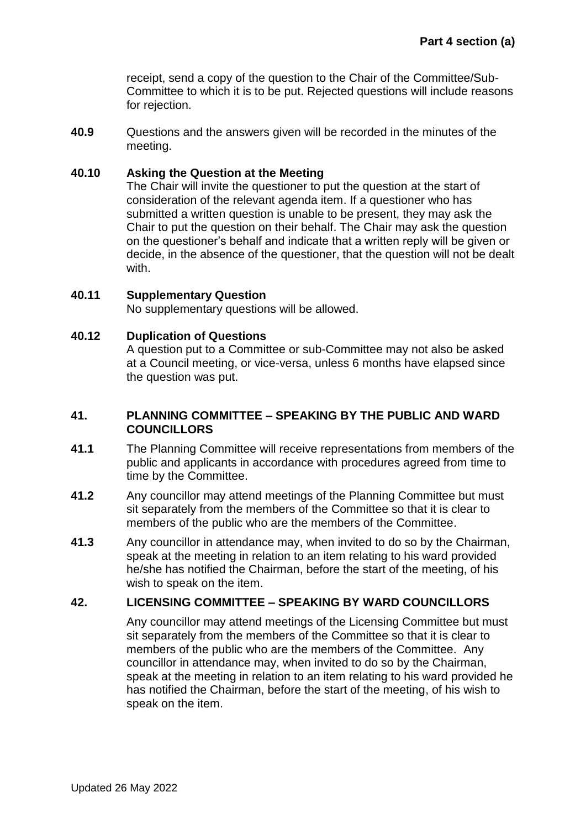receipt, send a copy of the question to the Chair of the Committee/Sub-Committee to which it is to be put. Rejected questions will include reasons for rejection.

**40.9** Questions and the answers given will be recorded in the minutes of the meeting.

#### **40.10 Asking the Question at the Meeting**

The Chair will invite the questioner to put the question at the start of consideration of the relevant agenda item. If a questioner who has submitted a written question is unable to be present, they may ask the Chair to put the question on their behalf. The Chair may ask the question on the questioner's behalf and indicate that a written reply will be given or decide, in the absence of the questioner, that the question will not be dealt with.

#### **40.11 Supplementary Question**

No supplementary questions will be allowed.

#### **40.12 Duplication of Questions**

A question put to a Committee or sub-Committee may not also be asked at a Council meeting, or vice-versa, unless 6 months have elapsed since the question was put.

#### **41. PLANNING COMMITTEE – SPEAKING BY THE PUBLIC AND WARD COUNCILLORS**

- **41.1** The Planning Committee will receive representations from members of the public and applicants in accordance with procedures agreed from time to time by the Committee.
- **41.2** Any councillor may attend meetings of the Planning Committee but must sit separately from the members of the Committee so that it is clear to members of the public who are the members of the Committee.
- **41.3** Any councillor in attendance may, when invited to do so by the Chairman, speak at the meeting in relation to an item relating to his ward provided he/she has notified the Chairman, before the start of the meeting, of his wish to speak on the item.

### <span id="page-22-0"></span>**42. LICENSING COMMITTEE – SPEAKING BY WARD COUNCILLORS**

Any councillor may attend meetings of the Licensing Committee but must sit separately from the members of the Committee so that it is clear to members of the public who are the members of the Committee. Any councillor in attendance may, when invited to do so by the Chairman, speak at the meeting in relation to an item relating to his ward provided he has notified the Chairman, before the start of the meeting, of his wish to speak on the item.